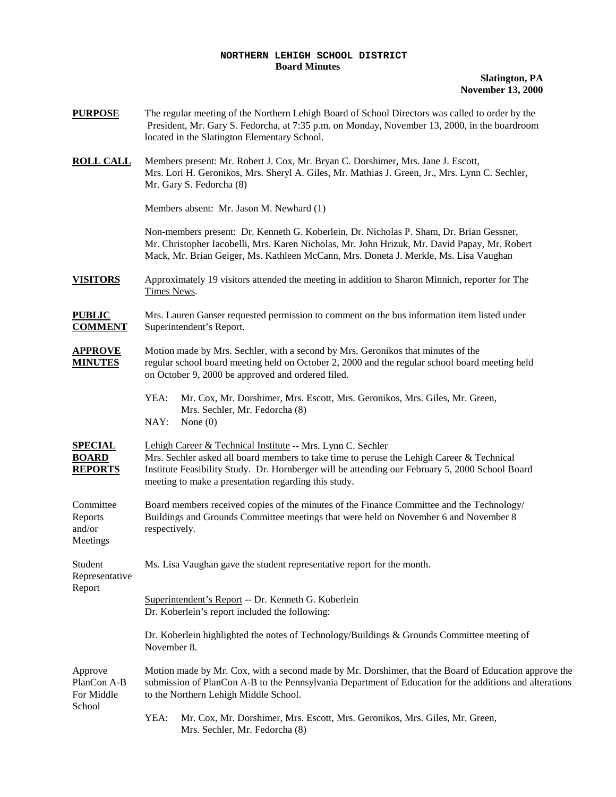## **NORTHERN LEHIGH SCHOOL DISTRICT Board Minutes**

**Slatington, PA November 13, 2000**

**PURPOSE** The regular meeting of the Northern Lehigh Board of School Directors was called to order by the President, Mr. Gary S. Fedorcha, at 7:35 p.m. on Monday, November 13, 2000, in the boardroom located in the Slatington Elementary School. **ROLL CALL** Members present: Mr. Robert J. Cox, Mr. Bryan C. Dorshimer, Mrs. Jane J. Escott, Mrs. Lori H. Geronikos, Mrs. Sheryl A. Giles, Mr. Mathias J. Green, Jr., Mrs. Lynn C. Sechler, Mr. Gary S. Fedorcha (8) Members absent: Mr. Jason M. Newhard (1) Non-members present: Dr. Kenneth G. Koberlein, Dr. Nicholas P. Sham, Dr. Brian Gessner, Mr. Christopher Iacobelli, Mrs. Karen Nicholas, Mr. John Hrizuk, Mr. David Papay, Mr. Robert Mack, Mr. Brian Geiger, Ms. Kathleen McCann, Mrs. Doneta J. Merkle, Ms. Lisa Vaughan **VISITORS** Approximately 19 visitors attended the meeting in addition to Sharon Minnich, reporter for The Times News. **PUBLIC** Mrs. Lauren Ganser requested permission to comment on the bus information item listed under **COMMENT** Superintendent's Report. **APPROVE** Motion made by Mrs. Sechler, with a second by Mrs. Geronikos that minutes of the **MINUTES** regular school board meeting held on October 2, 2000 and the regular school board meeting held on October 9, 2000 be approved and ordered filed. YEA: Mr. Cox, Mr. Dorshimer, Mrs. Escott, Mrs. Geronikos, Mrs. Giles, Mr. Green, Mrs. Sechler, Mr. Fedorcha (8) NAY: None (0) **SPECIAL** Lehigh Career & Technical Institute -- Mrs. Lynn C. Sechler **BOARD** Mrs. Sechler asked all board members to take time to peruse the Lehigh Career & Technical **REPORTS** Institute Feasibility Study. Dr. Hornberger will be attending our February 5, 2000 School Board meeting to make a presentation regarding this study. Committee Board members received copies of the minutes of the Finance Committee and the Technology/ Reports Buildings and Grounds Committee meetings that were held on November 6 and November 8 and/or respectively. Meetings Student Ms. Lisa Vaughan gave the student representative report for the month. Representative Report Superintendent's Report -- Dr. Kenneth G. Koberlein Dr. Koberlein's report included the following: Dr. Koberlein highlighted the notes of Technology/Buildings & Grounds Committee meeting of November 8. Approve Motion made by Mr. Cox, with a second made by Mr. Dorshimer, that the Board of Education approve the PlanCon A-B submission of PlanCon A-B to the Pennsylvania Department of Education for the additions and alterations For Middle to the Northern Lehigh Middle School. School YEA: Mr. Cox, Mr. Dorshimer, Mrs. Escott, Mrs. Geronikos, Mrs. Giles, Mr. Green,

Mrs. Sechler, Mr. Fedorcha (8)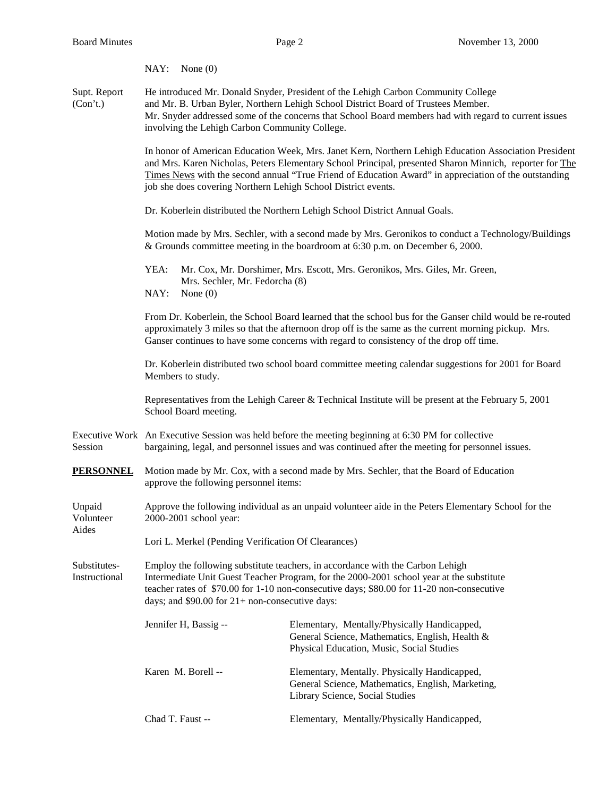|                               | NAY: None $(0)$                                                                                                                                                                                                                                                                                                                                                                            |                                                                                                                                                                                                                                                                                 |  |
|-------------------------------|--------------------------------------------------------------------------------------------------------------------------------------------------------------------------------------------------------------------------------------------------------------------------------------------------------------------------------------------------------------------------------------------|---------------------------------------------------------------------------------------------------------------------------------------------------------------------------------------------------------------------------------------------------------------------------------|--|
| Supt. Report<br>(Con't.)      | involving the Lehigh Carbon Community College.                                                                                                                                                                                                                                                                                                                                             | He introduced Mr. Donald Snyder, President of the Lehigh Carbon Community College<br>and Mr. B. Urban Byler, Northern Lehigh School District Board of Trustees Member.<br>Mr. Snyder addressed some of the concerns that School Board members had with regard to current issues |  |
|                               | In honor of American Education Week, Mrs. Janet Kern, Northern Lehigh Education Association President<br>and Mrs. Karen Nicholas, Peters Elementary School Principal, presented Sharon Minnich, reporter for The<br>Times News with the second annual "True Friend of Education Award" in appreciation of the outstanding<br>job she does covering Northern Lehigh School District events. |                                                                                                                                                                                                                                                                                 |  |
|                               | Dr. Koberlein distributed the Northern Lehigh School District Annual Goals.                                                                                                                                                                                                                                                                                                                |                                                                                                                                                                                                                                                                                 |  |
|                               |                                                                                                                                                                                                                                                                                                                                                                                            | Motion made by Mrs. Sechler, with a second made by Mrs. Geronikos to conduct a Technology/Buildings<br>& Grounds committee meeting in the boardroom at 6:30 p.m. on December 6, 2000.                                                                                           |  |
|                               | YEA:<br>Mrs. Sechler, Mr. Fedorcha (8)<br>NAY:<br>None $(0)$                                                                                                                                                                                                                                                                                                                               | Mr. Cox, Mr. Dorshimer, Mrs. Escott, Mrs. Geronikos, Mrs. Giles, Mr. Green,                                                                                                                                                                                                     |  |
|                               | From Dr. Koberlein, the School Board learned that the school bus for the Ganser child would be re-routed<br>approximately 3 miles so that the afternoon drop off is the same as the current morning pickup. Mrs.<br>Ganser continues to have some concerns with regard to consistency of the drop off time.                                                                                |                                                                                                                                                                                                                                                                                 |  |
|                               | Dr. Koberlein distributed two school board committee meeting calendar suggestions for 2001 for Board<br>Members to study.                                                                                                                                                                                                                                                                  |                                                                                                                                                                                                                                                                                 |  |
|                               | Representatives from the Lehigh Career & Technical Institute will be present at the February 5, 2001<br>School Board meeting.                                                                                                                                                                                                                                                              |                                                                                                                                                                                                                                                                                 |  |
| Session                       | Executive Work An Executive Session was held before the meeting beginning at 6:30 PM for collective<br>bargaining, legal, and personnel issues and was continued after the meeting for personnel issues.                                                                                                                                                                                   |                                                                                                                                                                                                                                                                                 |  |
| <u>PERSONNEL</u>              | Motion made by Mr. Cox, with a second made by Mrs. Sechler, that the Board of Education<br>approve the following personnel items:                                                                                                                                                                                                                                                          |                                                                                                                                                                                                                                                                                 |  |
| Unpaid<br>Volunteer<br>Aides  | Approve the following individual as an unpaid volunteer aide in the Peters Elementary School for the<br>2000-2001 school year:                                                                                                                                                                                                                                                             |                                                                                                                                                                                                                                                                                 |  |
|                               | Lori L. Merkel (Pending Verification Of Clearances)                                                                                                                                                                                                                                                                                                                                        |                                                                                                                                                                                                                                                                                 |  |
| Substitutes-<br>Instructional | Employ the following substitute teachers, in accordance with the Carbon Lehigh<br>Intermediate Unit Guest Teacher Program, for the 2000-2001 school year at the substitute<br>teacher rates of \$70.00 for 1-10 non-consecutive days; \$80.00 for 11-20 non-consecutive<br>days; and $$90.00$ for $21+$ non-consecutive days:                                                              |                                                                                                                                                                                                                                                                                 |  |
|                               | Jennifer H, Bassig --                                                                                                                                                                                                                                                                                                                                                                      | Elementary, Mentally/Physically Handicapped,<br>General Science, Mathematics, English, Health &<br>Physical Education, Music, Social Studies                                                                                                                                    |  |
|                               | Karen M. Borell --                                                                                                                                                                                                                                                                                                                                                                         | Elementary, Mentally. Physically Handicapped,<br>General Science, Mathematics, English, Marketing,<br>Library Science, Social Studies                                                                                                                                           |  |
|                               | Chad T. Faust --                                                                                                                                                                                                                                                                                                                                                                           | Elementary, Mentally/Physically Handicapped,                                                                                                                                                                                                                                    |  |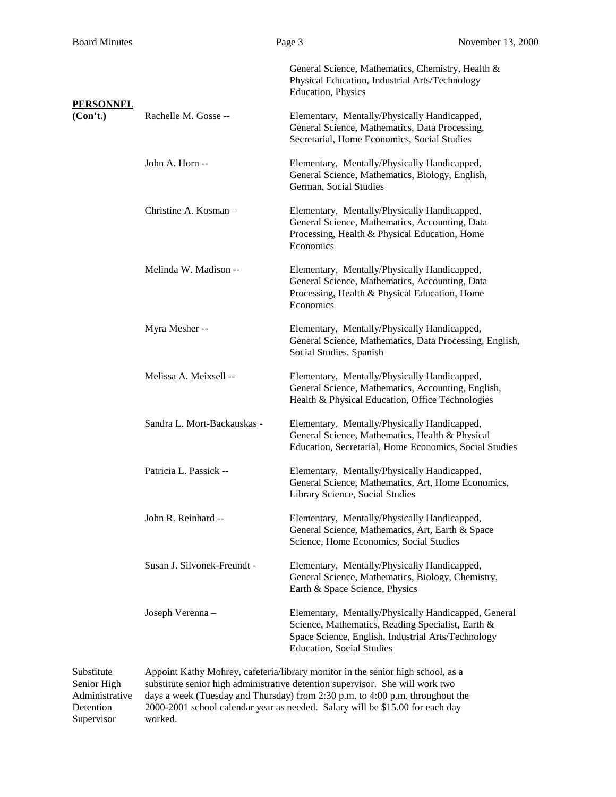|                              |                             | General Science, Mathematics, Chemistry, Health &<br>Physical Education, Industrial Arts/Technology<br><b>Education</b> , Physics                                                                   |
|------------------------------|-----------------------------|-----------------------------------------------------------------------------------------------------------------------------------------------------------------------------------------------------|
| <b>PERSONNEL</b><br>(Con't.) | Rachelle M. Gosse --        | Elementary, Mentally/Physically Handicapped,<br>General Science, Mathematics, Data Processing,<br>Secretarial, Home Economics, Social Studies                                                       |
|                              | John A. Horn --             | Elementary, Mentally/Physically Handicapped,<br>General Science, Mathematics, Biology, English,<br>German, Social Studies                                                                           |
|                              | Christine A. Kosman -       | Elementary, Mentally/Physically Handicapped,<br>General Science, Mathematics, Accounting, Data<br>Processing, Health & Physical Education, Home<br>Economics                                        |
|                              | Melinda W. Madison --       | Elementary, Mentally/Physically Handicapped,<br>General Science, Mathematics, Accounting, Data<br>Processing, Health & Physical Education, Home<br>Economics                                        |
|                              | Myra Mesher --              | Elementary, Mentally/Physically Handicapped,<br>General Science, Mathematics, Data Processing, English,<br>Social Studies, Spanish                                                                  |
|                              | Melissa A. Meixsell --      | Elementary, Mentally/Physically Handicapped,<br>General Science, Mathematics, Accounting, English,<br>Health & Physical Education, Office Technologies                                              |
|                              | Sandra L. Mort-Backauskas - | Elementary, Mentally/Physically Handicapped,<br>General Science, Mathematics, Health & Physical<br>Education, Secretarial, Home Economics, Social Studies                                           |
|                              | Patricia L. Passick --      | Elementary, Mentally/Physically Handicapped,<br>General Science, Mathematics, Art, Home Economics,<br>Library Science, Social Studies                                                               |
|                              | John R. Reinhard --         | Elementary, Mentally/Physically Handicapped,<br>General Science, Mathematics, Art, Earth & Space<br>Science, Home Economics, Social Studies                                                         |
|                              | Susan J. Silvonek-Freundt - | Elementary, Mentally/Physically Handicapped,<br>General Science, Mathematics, Biology, Chemistry,<br>Earth & Space Science, Physics                                                                 |
|                              | Joseph Verenna -            | Elementary, Mentally/Physically Handicapped, General<br>Science, Mathematics, Reading Specialist, Earth &<br>Space Science, English, Industrial Arts/Technology<br><b>Education, Social Studies</b> |

Supervisor worked.

Substitute Appoint Kathy Mohrey, cafeteria/library monitor in the senior high school, as a Senior High substitute senior high administrative detention supervisor. She will work two Administrative days a week (Tuesday and Thursday) from 2:30 p.m. to 4:00 p.m. throughout the Detention 2000-2001 school calendar year as needed. Salary will be \$15.00 for each day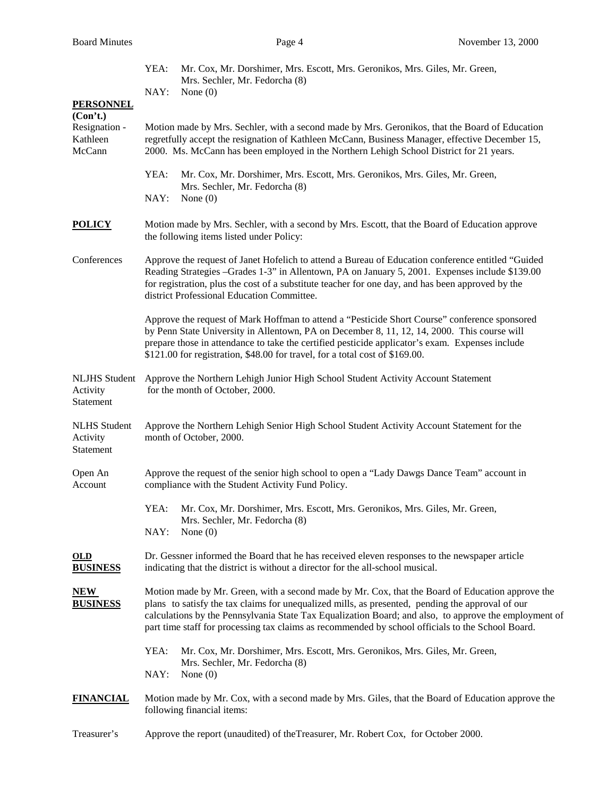|                                               | Mr. Cox, Mr. Dorshimer, Mrs. Escott, Mrs. Geronikos, Mrs. Giles, Mr. Green,<br>YEA:<br>Mrs. Sechler, Mr. Fedorcha (8)                                                                                                                                                                                                                                                                                              |  |  |
|-----------------------------------------------|--------------------------------------------------------------------------------------------------------------------------------------------------------------------------------------------------------------------------------------------------------------------------------------------------------------------------------------------------------------------------------------------------------------------|--|--|
|                                               | NAY:<br>None $(0)$                                                                                                                                                                                                                                                                                                                                                                                                 |  |  |
| <b>PERSONNEL</b><br>(Con't.)                  |                                                                                                                                                                                                                                                                                                                                                                                                                    |  |  |
| Resignation -<br>Kathleen<br>McCann           | Motion made by Mrs. Sechler, with a second made by Mrs. Geronikos, that the Board of Education<br>regretfully accept the resignation of Kathleen McCann, Business Manager, effective December 15,<br>2000. Ms. McCann has been employed in the Northern Lehigh School District for 21 years.                                                                                                                       |  |  |
|                                               | YEA:<br>Mr. Cox, Mr. Dorshimer, Mrs. Escott, Mrs. Geronikos, Mrs. Giles, Mr. Green,<br>Mrs. Sechler, Mr. Fedorcha (8)<br>NAY:<br>None $(0)$                                                                                                                                                                                                                                                                        |  |  |
| <b>POLICY</b>                                 | Motion made by Mrs. Sechler, with a second by Mrs. Escott, that the Board of Education approve<br>the following items listed under Policy:                                                                                                                                                                                                                                                                         |  |  |
| Conferences                                   | Approve the request of Janet Hofelich to attend a Bureau of Education conference entitled "Guided<br>Reading Strategies -Grades 1-3" in Allentown, PA on January 5, 2001. Expenses include \$139.00<br>for registration, plus the cost of a substitute teacher for one day, and has been approved by the<br>district Professional Education Committee.                                                             |  |  |
|                                               | Approve the request of Mark Hoffman to attend a "Pesticide Short Course" conference sponsored<br>by Penn State University in Allentown, PA on December 8, 11, 12, 14, 2000. This course will<br>prepare those in attendance to take the certified pesticide applicator's exam. Expenses include<br>\$121.00 for registration, \$48.00 for travel, for a total cost of \$169.00.                                    |  |  |
| <b>NLJHS Student</b><br>Activity<br>Statement | Approve the Northern Lehigh Junior High School Student Activity Account Statement<br>for the month of October, 2000.                                                                                                                                                                                                                                                                                               |  |  |
| <b>NLHS</b> Student<br>Activity<br>Statement  | Approve the Northern Lehigh Senior High School Student Activity Account Statement for the<br>month of October, 2000.                                                                                                                                                                                                                                                                                               |  |  |
| Open An<br>Account                            | Approve the request of the senior high school to open a "Lady Dawgs Dance Team" account in<br>compliance with the Student Activity Fund Policy.                                                                                                                                                                                                                                                                    |  |  |
|                                               | Mr. Cox, Mr. Dorshimer, Mrs. Escott, Mrs. Geronikos, Mrs. Giles, Mr. Green,<br>YEA:<br>Mrs. Sechler, Mr. Fedorcha (8)<br>NAY:<br>None $(0)$                                                                                                                                                                                                                                                                        |  |  |
| $OLD$<br><b>BUSINESS</b>                      | Dr. Gessner informed the Board that he has received eleven responses to the newspaper article<br>indicating that the district is without a director for the all-school musical.                                                                                                                                                                                                                                    |  |  |
| <u>NEW</u><br><b>BUSINESS</b>                 | Motion made by Mr. Green, with a second made by Mr. Cox, that the Board of Education approve the<br>plans to satisfy the tax claims for unequalized mills, as presented, pending the approval of our<br>calculations by the Pennsylvania State Tax Equalization Board; and also, to approve the employment of<br>part time staff for processing tax claims as recommended by school officials to the School Board. |  |  |
|                                               | YEA:<br>Mr. Cox, Mr. Dorshimer, Mrs. Escott, Mrs. Geronikos, Mrs. Giles, Mr. Green,<br>Mrs. Sechler, Mr. Fedorcha (8)<br>NAY:<br>None $(0)$                                                                                                                                                                                                                                                                        |  |  |
| <u>FINANCIAL</u>                              | Motion made by Mr. Cox, with a second made by Mrs. Giles, that the Board of Education approve the<br>following financial items:                                                                                                                                                                                                                                                                                    |  |  |
|                                               |                                                                                                                                                                                                                                                                                                                                                                                                                    |  |  |

Treasurer's Approve the report (unaudited) of theTreasurer, Mr. Robert Cox, for October 2000.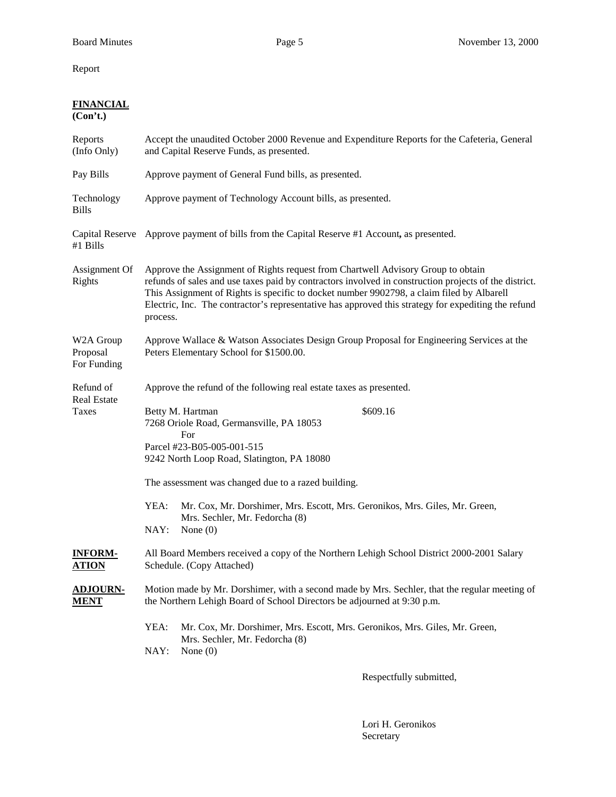Report

## **FINANCIAL**

**(Con't.)**

| Reports<br>(Info Only)               | Accept the unaudited October 2000 Revenue and Expenditure Reports for the Cafeteria, General<br>and Capital Reserve Funds, as presented.                                                                                                                                                                                                                                                                  |  |  |
|--------------------------------------|-----------------------------------------------------------------------------------------------------------------------------------------------------------------------------------------------------------------------------------------------------------------------------------------------------------------------------------------------------------------------------------------------------------|--|--|
| Pay Bills                            | Approve payment of General Fund bills, as presented.                                                                                                                                                                                                                                                                                                                                                      |  |  |
| Technology<br><b>Bills</b>           | Approve payment of Technology Account bills, as presented.                                                                                                                                                                                                                                                                                                                                                |  |  |
| #1 Bills                             | Capital Reserve Approve payment of bills from the Capital Reserve #1 Account, as presented.                                                                                                                                                                                                                                                                                                               |  |  |
| Assignment Of<br>Rights              | Approve the Assignment of Rights request from Chartwell Advisory Group to obtain<br>refunds of sales and use taxes paid by contractors involved in construction projects of the district.<br>This Assignment of Rights is specific to docket number 9902798, a claim filed by Albarell<br>Electric, Inc. The contractor's representative has approved this strategy for expediting the refund<br>process. |  |  |
| W2A Group<br>Proposal<br>For Funding | Approve Wallace & Watson Associates Design Group Proposal for Engineering Services at the<br>Peters Elementary School for \$1500.00.                                                                                                                                                                                                                                                                      |  |  |
| Refund of<br><b>Real Estate</b>      | Approve the refund of the following real estate taxes as presented.                                                                                                                                                                                                                                                                                                                                       |  |  |
| Taxes                                | Betty M. Hartman<br>\$609.16<br>7268 Oriole Road, Germansville, PA 18053<br>For<br>Parcel #23-B05-005-001-515<br>9242 North Loop Road, Slatington, PA 18080                                                                                                                                                                                                                                               |  |  |
|                                      | The assessment was changed due to a razed building.                                                                                                                                                                                                                                                                                                                                                       |  |  |
|                                      | YEA:<br>Mr. Cox, Mr. Dorshimer, Mrs. Escott, Mrs. Geronikos, Mrs. Giles, Mr. Green,<br>Mrs. Sechler, Mr. Fedorcha (8)<br>NAY:<br>None $(0)$                                                                                                                                                                                                                                                               |  |  |
| <b>INFORM-</b><br><b>ATION</b>       | All Board Members received a copy of the Northern Lehigh School District 2000-2001 Salary<br>Schedule. (Copy Attached)                                                                                                                                                                                                                                                                                    |  |  |
| <b>ADJOURN-</b><br><u>MENT</u>       | Motion made by Mr. Dorshimer, with a second made by Mrs. Sechler, that the regular meeting of<br>the Northern Lehigh Board of School Directors be adjourned at 9:30 p.m.                                                                                                                                                                                                                                  |  |  |
|                                      | YEA:<br>Mr. Cox, Mr. Dorshimer, Mrs. Escott, Mrs. Geronikos, Mrs. Giles, Mr. Green,<br>Mrs. Sechler, Mr. Fedorcha (8)<br>NAY:<br>None $(0)$                                                                                                                                                                                                                                                               |  |  |
|                                      | Respectfully submitted,                                                                                                                                                                                                                                                                                                                                                                                   |  |  |

Lori H. Geronikos Secretary